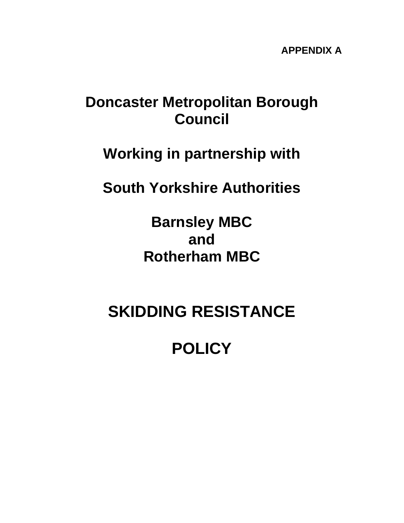## **Doncaster Metropolitan Borough Council**

## **Working in partnership with**

## **South Yorkshire Authorities**

**Barnsley MBC and Rotherham MBC** 

# **SKIDDING RESISTANCE**

# **POLICY**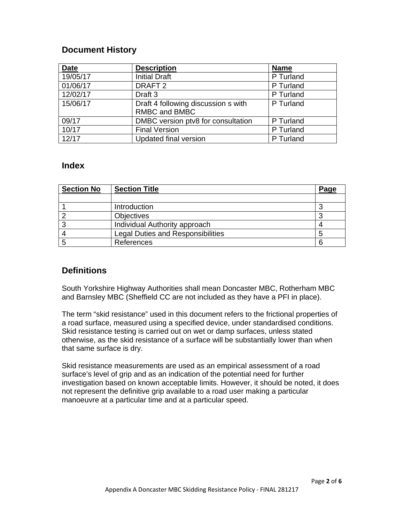#### **Document History**

| <b>Date</b> | <b>Description</b>                  | <b>Name</b> |
|-------------|-------------------------------------|-------------|
| 19/05/17    | <b>Initial Draft</b>                | P Turland   |
| 01/06/17    | DRAFT <sub>2</sub>                  | P Turland   |
| 12/02/17    | Draft 3                             | P Turland   |
| 15/06/17    | Draft 4 following discussion s with | P Turland   |
|             | RMBC and BMBC                       |             |
| 09/17       | DMBC version ptv8 for consultation  | P Turland   |
| 10/17       | <b>Final Version</b>                | P Turland   |
| 12/17       | <b>Updated final version</b>        | P Turland   |

#### **Index**

| <b>Section No</b> | <b>Section Title</b>                     | Page |
|-------------------|------------------------------------------|------|
|                   |                                          |      |
|                   | Introduction                             |      |
|                   | <b>Objectives</b>                        |      |
|                   | Individual Authority approach            |      |
|                   | <b>Legal Duties and Responsibilities</b> | 5    |
|                   | References                               | 6    |

#### **Definitions**

South Yorkshire Highway Authorities shall mean Doncaster MBC, Rotherham MBC and Barnsley MBC (Sheffield CC are not included as they have a PFI in place).

The term "skid resistance" used in this document refers to the frictional properties of a road surface, measured using a specified device, under standardised conditions. Skid resistance testing is carried out on wet or damp surfaces, unless stated otherwise, as the skid resistance of a surface will be substantially lower than when that same surface is dry.

Skid resistance measurements are used as an empirical assessment of a road surface's level of grip and as an indication of the potential need for further investigation based on known acceptable limits. However, it should be noted, it does not represent the definitive grip available to a road user making a particular manoeuvre at a particular time and at a particular speed.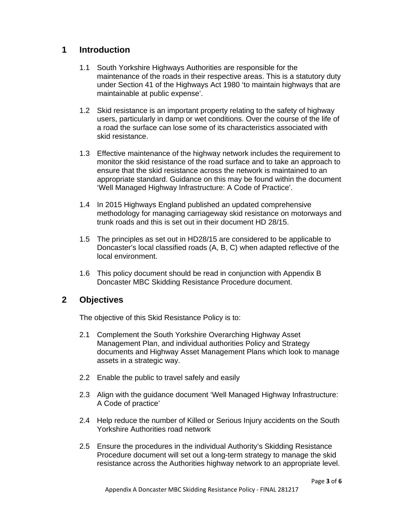#### **1 Introduction**

- 1.1 South Yorkshire Highways Authorities are responsible for the maintenance of the roads in their respective areas. This is a statutory duty under Section 41 of the Highways Act 1980 'to maintain highways that are maintainable at public expense'.
- 1.2 Skid resistance is an important property relating to the safety of highway users, particularly in damp or wet conditions. Over the course of the life of a road the surface can lose some of its characteristics associated with skid resistance.
- 1.3 Effective maintenance of the highway network includes the requirement to monitor the skid resistance of the road surface and to take an approach to ensure that the skid resistance across the network is maintained to an appropriate standard. Guidance on this may be found within the document 'Well Managed Highway Infrastructure: A Code of Practice'.
- 1.4 In 2015 Highways England published an updated comprehensive methodology for managing carriageway skid resistance on motorways and trunk roads and this is set out in their document HD 28/15.
- 1.5 The principles as set out in HD28/15 are considered to be applicable to Doncaster's local classified roads (A, B, C) when adapted reflective of the local environment.
- 1.6 This policy document should be read in conjunction with Appendix B Doncaster MBC Skidding Resistance Procedure document.

#### **2 Objectives**

The objective of this Skid Resistance Policy is to:

- 2.1 Complement the South Yorkshire Overarching Highway Asset Management Plan, and individual authorities Policy and Strategy documents and Highway Asset Management Plans which look to manage assets in a strategic way.
- 2.2 Enable the public to travel safely and easily
- 2.3 Align with the guidance document 'Well Managed Highway Infrastructure: A Code of practice'
- 2.4 Help reduce the number of Killed or Serious Injury accidents on the South Yorkshire Authorities road network
- 2.5 Ensure the procedures in the individual Authority's Skidding Resistance Procedure document will set out a long-term strategy to manage the skid resistance across the Authorities highway network to an appropriate level.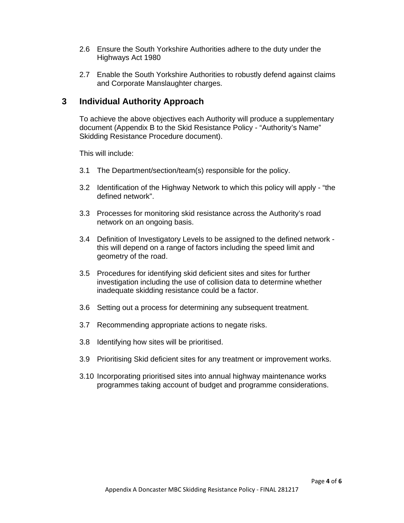- 2.6 Ensure the South Yorkshire Authorities adhere to the duty under the Highways Act 1980
- 2.7 Enable the South Yorkshire Authorities to robustly defend against claims and Corporate Manslaughter charges.

### **3 Individual Authority Approach**

 To achieve the above objectives each Authority will produce a supplementary document (Appendix B to the Skid Resistance Policy - "Authority's Name" Skidding Resistance Procedure document).

This will include:

- 3.1 The Department/section/team(s) responsible for the policy.
- 3.2 Identification of the Highway Network to which this policy will apply "the defined network".
- 3.3 Processes for monitoring skid resistance across the Authority's road network on an ongoing basis.
- 3.4 Definition of Investigatory Levels to be assigned to the defined network this will depend on a range of factors including the speed limit and geometry of the road.
- 3.5 Procedures for identifying skid deficient sites and sites for further investigation including the use of collision data to determine whether inadequate skidding resistance could be a factor.
- 3.6 Setting out a process for determining any subsequent treatment.
- 3.7 Recommending appropriate actions to negate risks.
- 3.8 Identifying how sites will be prioritised.
- 3.9 Prioritising Skid deficient sites for any treatment or improvement works.
- 3.10 Incorporating prioritised sites into annual highway maintenance works programmes taking account of budget and programme considerations.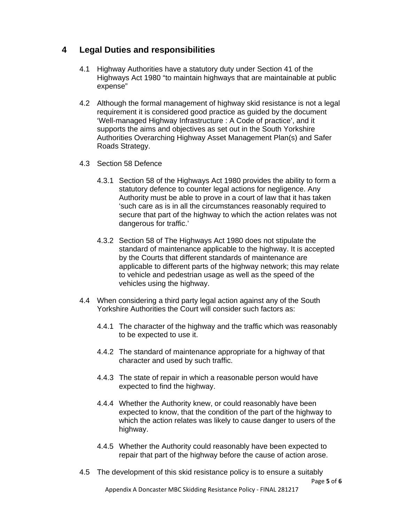### **4 Legal Duties and responsibilities**

- 4.1 Highway Authorities have a statutory duty under Section 41 of the Highways Act 1980 "to maintain highways that are maintainable at public expense"
- 4.2 Although the formal management of highway skid resistance is not a legal requirement it is considered good practice as guided by the document 'Well-managed Highway Infrastructure : A Code of practice', and it supports the aims and objectives as set out in the South Yorkshire Authorities Overarching Highway Asset Management Plan(s) and Safer Roads Strategy.
- 4.3 Section 58 Defence
	- 4.3.1 Section 58 of the Highways Act 1980 provides the ability to form a statutory defence to counter legal actions for negligence. Any Authority must be able to prove in a court of law that it has taken 'such care as is in all the circumstances reasonably required to secure that part of the highway to which the action relates was not dangerous for traffic.'
	- 4.3.2 Section 58 of The Highways Act 1980 does not stipulate the standard of maintenance applicable to the highway. It is accepted by the Courts that different standards of maintenance are applicable to different parts of the highway network; this may relate to vehicle and pedestrian usage as well as the speed of the vehicles using the highway.
- 4.4 When considering a third party legal action against any of the South Yorkshire Authorities the Court will consider such factors as:
	- 4.4.1 The character of the highway and the traffic which was reasonably to be expected to use it.
	- 4.4.2 The standard of maintenance appropriate for a highway of that character and used by such traffic.
	- 4.4.3 The state of repair in which a reasonable person would have expected to find the highway.
	- 4.4.4 Whether the Authority knew, or could reasonably have been expected to know, that the condition of the part of the highway to which the action relates was likely to cause danger to users of the highway.
	- 4.4.5 Whether the Authority could reasonably have been expected to repair that part of the highway before the cause of action arose.
- 4.5 The development of this skid resistance policy is to ensure a suitably